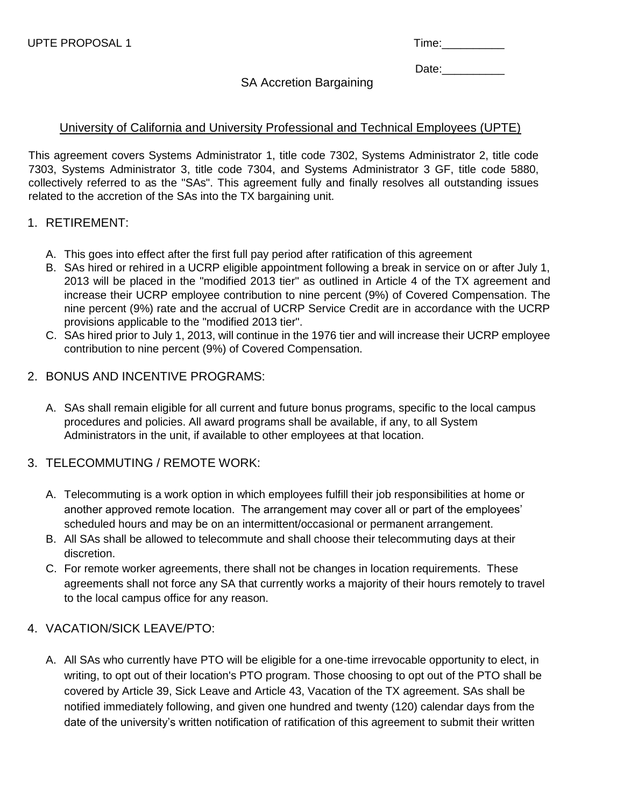| u.<br>. . | △' |  |  |
|-----------|----|--|--|
|           |    |  |  |

Date:

SA Accretion Bargaining

## University of California and University Professional and Technical Employees (UPTE)

This agreement covers Systems Administrator 1, title code 7302, Systems Administrator 2, title code 7303, Systems Administrator 3, title code 7304, and Systems Administrator 3 GF, title code 5880, collectively referred to as the "SAs". This agreement fully and finally resolves all outstanding issues related to the accretion of the SAs into the TX bargaining unit.

### 1. RETIREMENT:

- A. This goes into effect after the first full pay period after ratification of this agreement
- B. SAs hired or rehired in a UCRP eligible appointment following a break in service on or after July 1, 2013 will be placed in the "modified 2013 tier" as outlined in Article 4 of the TX agreement and increase their UCRP employee contribution to nine percent (9%) of Covered Compensation. The nine percent (9%) rate and the accrual of UCRP Service Credit are in accordance with the UCRP provisions applicable to the "modified 2013 tier".
- C. SAs hired prior to July 1, 2013, will continue in the 1976 tier and will increase their UCRP employee contribution to nine percent (9%) of Covered Compensation.

## 2. BONUS AND INCENTIVE PROGRAMS:

A. SAs shall remain eligible for all current and future bonus programs, specific to the local campus procedures and policies. All award programs shall be available, if any, to all System Administrators in the unit, if available to other employees at that location.

## 3. TELECOMMUTING / REMOTE WORK:

- A. Telecommuting is a work option in which employees fulfill their job responsibilities at home or another approved remote location. The arrangement may cover all or part of the employees' scheduled hours and may be on an intermittent/occasional or permanent arrangement.
- B. All SAs shall be allowed to telecommute and shall choose their telecommuting days at their discretion.
- C. For remote worker agreements, there shall not be changes in location requirements. These agreements shall not force any SA that currently works a majority of their hours remotely to travel to the local campus office for any reason.

## 4. VACATION/SICK LEAVE/PTO:

A. All SAs who currently have PTO will be eligible for a one-time irrevocable opportunity to elect, in writing, to opt out of their location's PTO program. Those choosing to opt out of the PTO shall be covered by Article 39, Sick Leave and Article 43, Vacation of the TX agreement. SAs shall be notified immediately following, and given one hundred and twenty (120) calendar days from the date of the university's written notification of ratification of this agreement to submit their written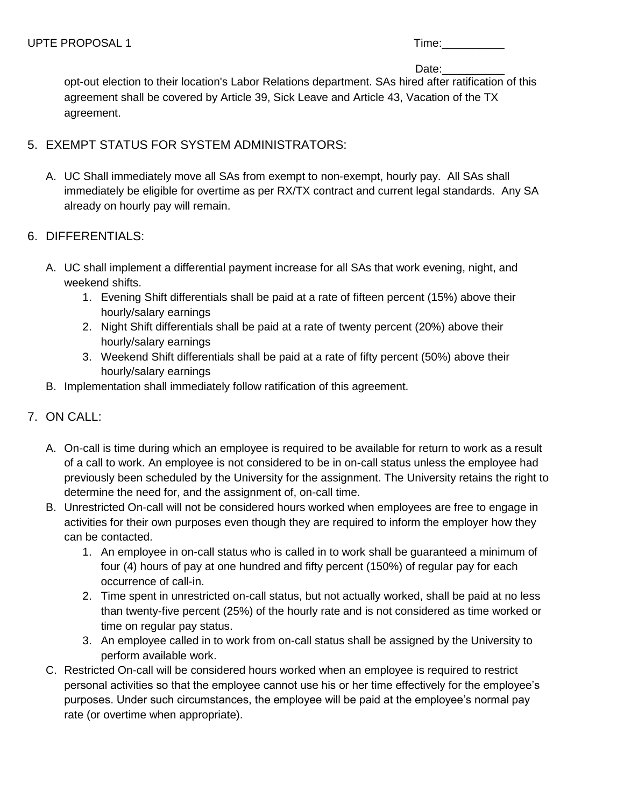| $\cdots$<br>- 1<br>. . |  |
|------------------------|--|
| -                      |  |

Date:

opt-out election to their location's Labor Relations department. SAs hired after ratification of this agreement shall be covered by Article 39, Sick Leave and Article 43, Vacation of the TX agreement.

## 5. EXEMPT STATUS FOR SYSTEM ADMINISTRATORS:

A. UC Shall immediately move all SAs from exempt to non-exempt, hourly pay. All SAs shall immediately be eligible for overtime as per RX/TX contract and current legal standards. Any SA already on hourly pay will remain.

## 6. DIFFERENTIALS:

- A. UC shall implement a differential payment increase for all SAs that work evening, night, and weekend shifts.
	- 1. Evening Shift differentials shall be paid at a rate of fifteen percent (15%) above their hourly/salary earnings
	- 2. Night Shift differentials shall be paid at a rate of twenty percent (20%) above their hourly/salary earnings
	- 3. Weekend Shift differentials shall be paid at a rate of fifty percent (50%) above their hourly/salary earnings
- B. Implementation shall immediately follow ratification of this agreement.

## 7. ON CALL:

- A. On-call is time during which an employee is required to be available for return to work as a result of a call to work. An employee is not considered to be in on-call status unless the employee had previously been scheduled by the University for the assignment. The University retains the right to determine the need for, and the assignment of, on-call time.
- B. Unrestricted On-call will not be considered hours worked when employees are free to engage in activities for their own purposes even though they are required to inform the employer how they can be contacted.
	- 1. An employee in on-call status who is called in to work shall be guaranteed a minimum of four (4) hours of pay at one hundred and fifty percent (150%) of regular pay for each occurrence of call-in.
	- 2. Time spent in unrestricted on-call status, but not actually worked, shall be paid at no less than twenty-five percent (25%) of the hourly rate and is not considered as time worked or time on regular pay status.
	- 3. An employee called in to work from on-call status shall be assigned by the University to perform available work.
- C. Restricted On-call will be considered hours worked when an employee is required to restrict personal activities so that the employee cannot use his or her time effectively for the employee's purposes. Under such circumstances, the employee will be paid at the employee's normal pay rate (or overtime when appropriate).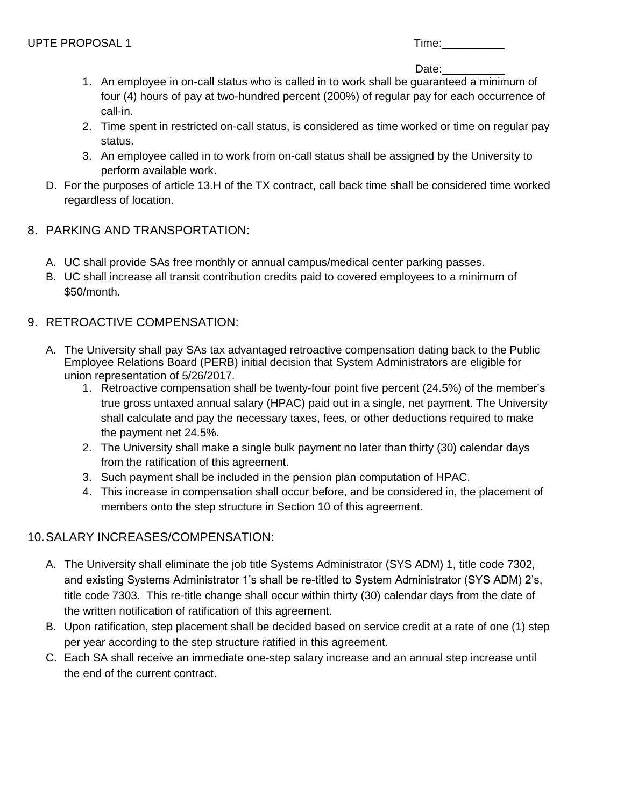| 1 I I | o.<br>u.<br>. . |  |  |  |
|-------|-----------------|--|--|--|
|       |                 |  |  |  |

### Date:

- 1. An employee in on-call status who is called in to work shall be guaranteed a minimum of four (4) hours of pay at two-hundred percent (200%) of regular pay for each occurrence of call-in.
- 2. Time spent in restricted on-call status, is considered as time worked or time on regular pay status.
- 3. An employee called in to work from on-call status shall be assigned by the University to perform available work.
- D. For the purposes of article 13.H of the TX contract, call back time shall be considered time worked regardless of location.
- 8. PARKING AND TRANSPORTATION:
	- A. UC shall provide SAs free monthly or annual campus/medical center parking passes.
	- B. UC shall increase all transit contribution credits paid to covered employees to a minimum of \$50/month.
- 9. RETROACTIVE COMPENSATION:
	- A. The University shall pay SAs tax advantaged retroactive compensation dating back to the Public Employee Relations Board (PERB) initial decision that System Administrators are eligible for union representation of 5/26/2017.
		- 1. Retroactive compensation shall be twenty-four point five percent (24.5%) of the member's true gross untaxed annual salary (HPAC) paid out in a single, net payment. The University shall calculate and pay the necessary taxes, fees, or other deductions required to make the payment net 24.5%.
		- 2. The University shall make a single bulk payment no later than thirty (30) calendar days from the ratification of this agreement.
		- 3. Such payment shall be included in the pension plan computation of HPAC.
		- 4. This increase in compensation shall occur before, and be considered in, the placement of members onto the step structure in Section 10 of this agreement.

# 10.SALARY INCREASES/COMPENSATION:

- A. The University shall eliminate the job title Systems Administrator (SYS ADM) 1, title code 7302, and existing Systems Administrator 1's shall be re-titled to System Administrator (SYS ADM) 2's, title code 7303. This re-title change shall occur within thirty (30) calendar days from the date of the written notification of ratification of this agreement.
- B. Upon ratification, step placement shall be decided based on service credit at a rate of one (1) step per year according to the step structure ratified in this agreement.
- C. Each SA shall receive an immediate one-step salary increase and an annual step increase until the end of the current contract.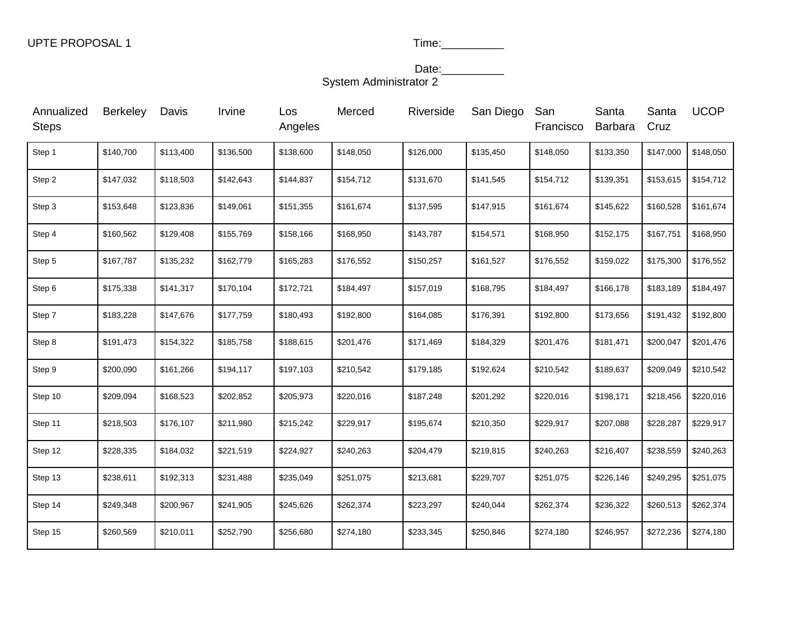#### Date:\_\_\_\_\_\_\_\_\_\_\_\_ System Administrator 2

| Annualized<br><b>Steps</b> | <b>Berkeley</b> | Davis     | Irvine    | Los<br>Angeles | Merced    | Riverside | San Diego | San<br>Francisco | Santa<br>Barbara | Santa<br>Cruz | <b>UCOP</b> |
|----------------------------|-----------------|-----------|-----------|----------------|-----------|-----------|-----------|------------------|------------------|---------------|-------------|
| Step 1                     | \$140,700       | \$113,400 | \$136,500 | \$138,600      | \$148,050 | \$126,000 | \$135,450 | \$148,050        | \$133,350        | \$147,000     | \$148,050   |
| Step 2                     | \$147,032       | \$118,503 | \$142,643 | \$144,837      | \$154,712 | \$131,670 | \$141,545 | \$154,712        | \$139,351        | \$153,615     | \$154,712   |
| Step 3                     | \$153,648       | \$123,836 | \$149,061 | \$151,355      | \$161,674 | \$137,595 | \$147,915 | \$161,674        | \$145,622        | \$160,528     | \$161,674   |
| Step 4                     | \$160,562       | \$129,408 | \$155,769 | \$158,166      | \$168,950 | \$143,787 | \$154,571 | \$168,950        | \$152,175        | \$167,751     | \$168,950   |
| Step 5                     | \$167,787       | \$135,232 | \$162,779 | \$165,283      | \$176,552 | \$150,257 | \$161,527 | \$176,552        | \$159,022        | \$175,300     | \$176,552   |
| Step 6                     | \$175,338       | \$141,317 | \$170,104 | \$172,721      | \$184,497 | \$157,019 | \$168,795 | \$184,497        | \$166,178        | \$183,189     | \$184,497   |
| Step 7                     | \$183,228       | \$147,676 | \$177,759 | \$180,493      | \$192,800 | \$164,085 | \$176,391 | \$192,800        | \$173,656        | \$191,432     | \$192,800   |
| Step 8                     | \$191,473       | \$154,322 | \$185,758 | \$188,615      | \$201,476 | \$171,469 | \$184,329 | \$201,476        | \$181,471        | \$200,047     | \$201,476   |
| Step 9                     | \$200,090       | \$161,266 | \$194,117 | \$197,103      | \$210,542 | \$179,185 | \$192,624 | \$210,542        | \$189,637        | \$209,049     | \$210,542   |
| Step 10                    | \$209,094       | \$168,523 | \$202,852 | \$205,973      | \$220,016 | \$187,248 | \$201,292 | \$220,016        | \$198,171        | \$218,456     | \$220,016   |
| Step 11                    | \$218,503       | \$176,107 | \$211,980 | \$215,242      | \$229,917 | \$195,674 | \$210,350 | \$229,917        | \$207,088        | \$228,287     | \$229,917   |
| Step 12                    | \$228,335       | \$184,032 | \$221,519 | \$224,927      | \$240,263 | \$204,479 | \$219,815 | \$240,263        | \$216,407        | \$238,559     | \$240,263   |
| Step 13                    | \$238,611       | \$192,313 | \$231,488 | \$235,049      | \$251,075 | \$213,681 | \$229,707 | \$251,075        | \$226,146        | \$249,295     | \$251,075   |
| Step 14                    | \$249,348       | \$200,967 | \$241,905 | \$245,626      | \$262,374 | \$223,297 | \$240,044 | \$262,374        | \$236,322        | \$260,513     | \$262,374   |
| Step 15                    | \$260,569       | \$210,011 | \$252,790 | \$256,680      | \$274,180 | \$233,345 | \$250,846 | \$274,180        | \$246,957        | \$272,236     | \$274,180   |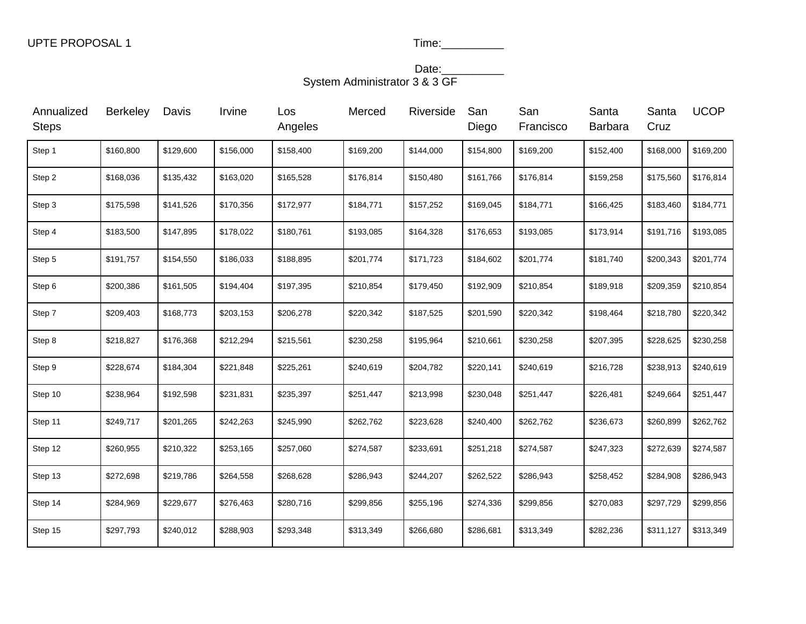#### Date:\_\_\_\_\_\_\_\_\_\_\_\_ System Administrator 3 & 3 GF

| Annualized<br><b>Steps</b> | <b>Berkeley</b> | Davis     | Irvine    | Los<br>Angeles | Merced    | Riverside | San<br>Diego | San<br>Francisco | Santa<br><b>Barbara</b> | Santa<br>Cruz | <b>UCOP</b> |
|----------------------------|-----------------|-----------|-----------|----------------|-----------|-----------|--------------|------------------|-------------------------|---------------|-------------|
| Step 1                     | \$160,800       | \$129,600 | \$156,000 | \$158,400      | \$169,200 | \$144,000 | \$154,800    | \$169,200        | \$152,400               | \$168,000     | \$169,200   |
| Step 2                     | \$168,036       | \$135,432 | \$163,020 | \$165,528      | \$176,814 | \$150,480 | \$161,766    | \$176,814        | \$159,258               | \$175,560     | \$176,814   |
| Step 3                     | \$175,598       | \$141,526 | \$170,356 | \$172,977      | \$184,771 | \$157,252 | \$169,045    | \$184,771        | \$166,425               | \$183,460     | \$184,771   |
| Step 4                     | \$183,500       | \$147,895 | \$178,022 | \$180,761      | \$193,085 | \$164,328 | \$176,653    | \$193,085        | \$173,914               | \$191,716     | \$193,085   |
| Step 5                     | \$191,757       | \$154,550 | \$186,033 | \$188,895      | \$201,774 | \$171,723 | \$184,602    | \$201,774        | \$181,740               | \$200,343     | \$201,774   |
| Step 6                     | \$200,386       | \$161,505 | \$194,404 | \$197,395      | \$210,854 | \$179,450 | \$192,909    | \$210,854        | \$189,918               | \$209,359     | \$210,854   |
| Step 7                     | \$209,403       | \$168,773 | \$203,153 | \$206,278      | \$220,342 | \$187,525 | \$201,590    | \$220,342        | \$198,464               | \$218,780     | \$220,342   |
| Step 8                     | \$218,827       | \$176,368 | \$212,294 | \$215,561      | \$230,258 | \$195,964 | \$210,661    | \$230,258        | \$207,395               | \$228,625     | \$230,258   |
| Step 9                     | \$228,674       | \$184,304 | \$221,848 | \$225,261      | \$240,619 | \$204,782 | \$220,141    | \$240,619        | \$216,728               | \$238,913     | \$240,619   |
| Step 10                    | \$238,964       | \$192,598 | \$231,831 | \$235,397      | \$251,447 | \$213,998 | \$230,048    | \$251,447        | \$226,481               | \$249,664     | \$251,447   |
| Step 11                    | \$249,717       | \$201,265 | \$242,263 | \$245,990      | \$262,762 | \$223,628 | \$240,400    | \$262,762        | \$236,673               | \$260,899     | \$262,762   |
| Step 12                    | \$260,955       | \$210,322 | \$253,165 | \$257,060      | \$274,587 | \$233,691 | \$251,218    | \$274,587        | \$247,323               | \$272,639     | \$274,587   |
| Step 13                    | \$272,698       | \$219,786 | \$264,558 | \$268,628      | \$286,943 | \$244,207 | \$262,522    | \$286,943        | \$258,452               | \$284,908     | \$286,943   |
| Step 14                    | \$284,969       | \$229,677 | \$276,463 | \$280,716      | \$299,856 | \$255,196 | \$274,336    | \$299,856        | \$270,083               | \$297,729     | \$299,856   |
| Step 15                    | \$297,793       | \$240,012 | \$288,903 | \$293,348      | \$313,349 | \$266,680 | \$286,681    | \$313,349        | \$282,236               | \$311,127     | \$313,349   |